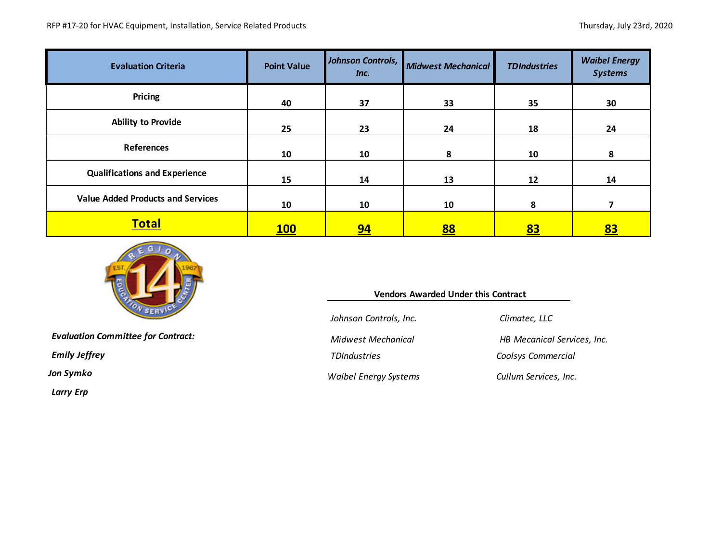| <b>Evaluation Criteria</b>               | <b>Point Value</b> | Johnson Controls,<br>Inc. | <b>Midwest Mechanical</b> | <b>TDIndustries</b> | <b>Waibel Energy</b><br><b>Systems</b> |
|------------------------------------------|--------------------|---------------------------|---------------------------|---------------------|----------------------------------------|
| <b>Pricing</b>                           | 40                 | 37                        | 33                        | 35                  | 30                                     |
| <b>Ability to Provide</b>                | 25                 | 23                        | 24                        | 18                  | 24                                     |
| <b>References</b>                        | 10                 | 10                        | 8                         | 10                  | 8                                      |
| <b>Qualifications and Experience</b>     | 15                 | 14                        | 13                        | 12                  | 14                                     |
| <b>Value Added Products and Services</b> | 10                 | 10                        | 10                        | 8                   |                                        |
| <b>Total</b>                             | <u>100</u>         | <u>94</u>                 | <u>88</u>                 | <u>83</u>           | <u>83</u>                              |



*Evaluation Committee for Contract: Midwest Mechanical HB Mecanical Services, Inc.*

*Larry Erp*

| <b>Vendors Awarded Under this Contract</b> |  |
|--------------------------------------------|--|
|--------------------------------------------|--|

*Johnson Controls, Inc. Climatec, LLC*

*Jon Symko Waibel Energy Systems Cullum Services, Inc.*

*Emily Jeffrey TDIndustries Coolsys Commercial*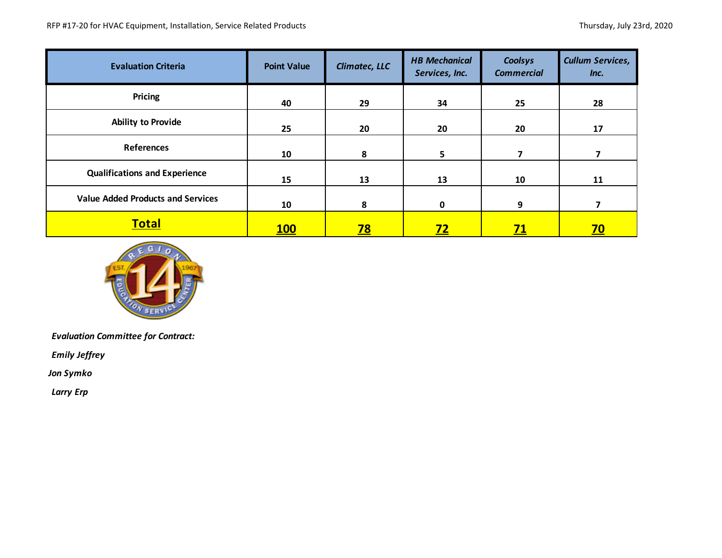| <b>Evaluation Criteria</b>               | <b>Point Value</b> | <b>Climatec, LLC</b> | <b>HB Mechanical</b><br>Services, Inc. | Coolsys<br><b>Commercial</b> | <b>Cullum Services,</b><br>Inc. |
|------------------------------------------|--------------------|----------------------|----------------------------------------|------------------------------|---------------------------------|
| Pricing                                  | 40                 | 29                   | 34                                     | 25                           | 28                              |
| <b>Ability to Provide</b>                | 25                 | 20                   | 20                                     | 20                           | 17                              |
| <b>References</b>                        | 10                 | 8                    | 5                                      | 7                            |                                 |
| <b>Qualifications and Experience</b>     | 15                 | 13                   | 13                                     | 10                           | 11                              |
| <b>Value Added Products and Services</b> | 10                 | 8                    | 0                                      | 9                            | 7                               |
| <b>Total</b>                             | <u>100</u>         | <u>78</u>            | <u>72</u>                              | <u>71</u>                    | <u>70</u>                       |



*Evaluation Committee for Contract:* 

*Emily Jeffrey*

*Jon Symko*

*Larry Erp*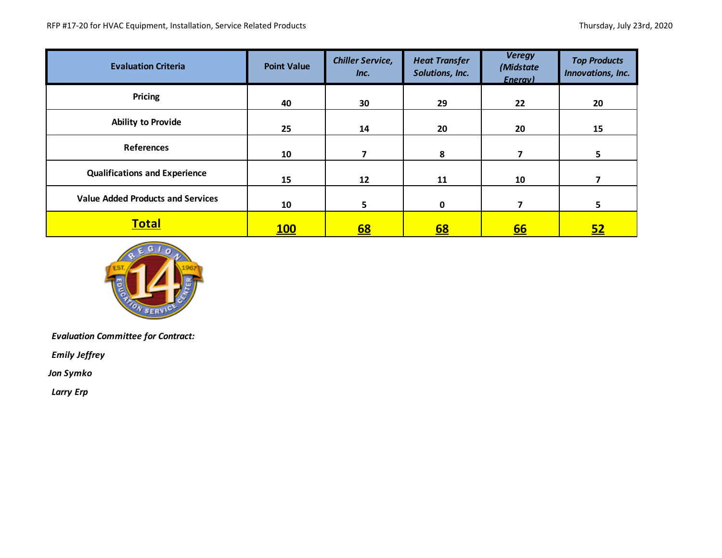| <b>Evaluation Criteria</b>               | <b>Point Value</b> | <b>Chiller Service,</b><br>Inc. | <b>Heat Transfer</b><br>Solutions, Inc. | <b>Veregy</b><br>(Midstate<br>Enerav) | <b>Top Products</b><br>Innovations, Inc. |
|------------------------------------------|--------------------|---------------------------------|-----------------------------------------|---------------------------------------|------------------------------------------|
| Pricing                                  | 40                 | 30                              | 29                                      | 22                                    | 20                                       |
| <b>Ability to Provide</b>                | 25                 | 14                              | 20                                      | 20                                    | 15                                       |
| <b>References</b>                        | 10                 |                                 | 8                                       |                                       | 5                                        |
| <b>Qualifications and Experience</b>     | 15                 | 12                              | 11                                      | 10                                    |                                          |
| <b>Value Added Products and Services</b> | 10                 | 5                               | 0                                       | 7                                     | 5                                        |
| <b>Total</b>                             | <u>100</u>         | <u>68</u>                       | <u>68</u>                               | <u>66</u>                             | <u>52</u>                                |



*Evaluation Committee for Contract:* 

*Emily Jeffrey*

*Jon Symko*

*Larry Erp*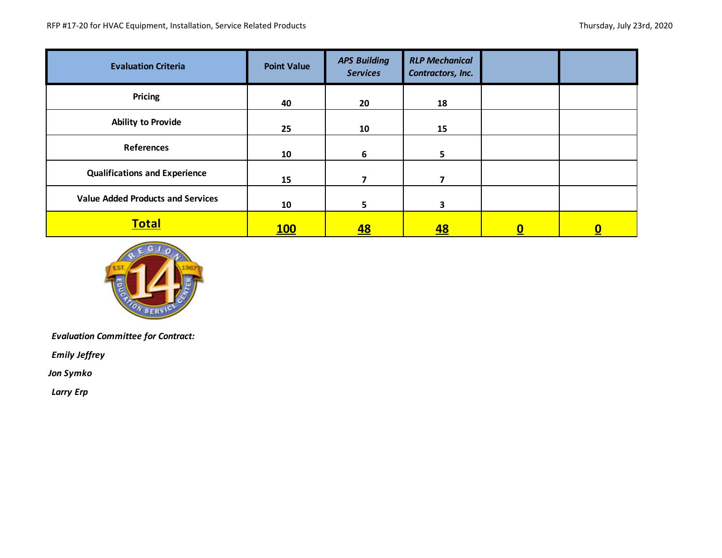| <b>Evaluation Criteria</b>               | <b>Point Value</b> | <b>APS Building</b><br><b>Services</b> | <b>RLP Mechanical</b><br>Contractors, Inc. |   |  |
|------------------------------------------|--------------------|----------------------------------------|--------------------------------------------|---|--|
| <b>Pricing</b>                           | 40                 | 20                                     | 18                                         |   |  |
| <b>Ability to Provide</b>                | 25                 | 10                                     | 15                                         |   |  |
| <b>References</b>                        | 10                 | 6                                      | 5                                          |   |  |
| <b>Qualifications and Experience</b>     | 15                 |                                        |                                            |   |  |
| <b>Value Added Products and Services</b> | 10                 | 5.                                     | 3                                          |   |  |
| <b>Total</b>                             | <u>100</u>         | <u>48</u>                              | <u>48</u>                                  | 0 |  |



*Evaluation Committee for Contract:* 

*Emily Jeffrey*

*Jon Symko*

*Larry Erp*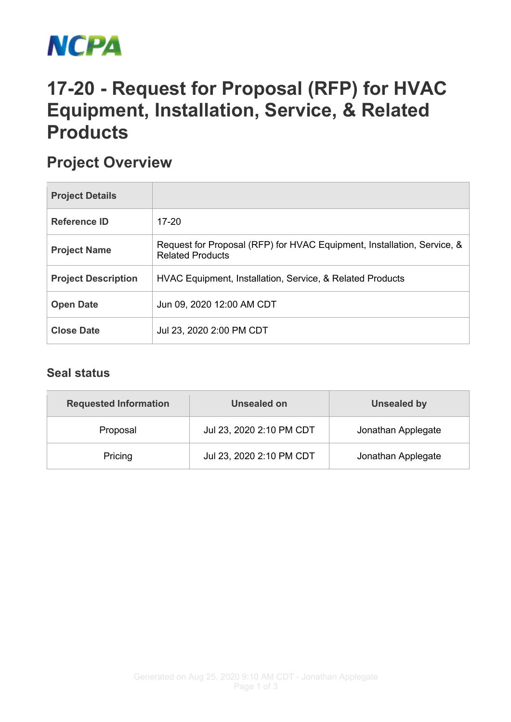

## **17-20 - Request for Proposal (RFP) for HVAC Equipment, Installation, Service, & Related Products**

## **Project Overview**

| <b>Project Details</b>     |                                                                                                    |
|----------------------------|----------------------------------------------------------------------------------------------------|
| <b>Reference ID</b>        | $17-20$                                                                                            |
| <b>Project Name</b>        | Request for Proposal (RFP) for HVAC Equipment, Installation, Service, &<br><b>Related Products</b> |
| <b>Project Description</b> | HVAC Equipment, Installation, Service, & Related Products                                          |
| <b>Open Date</b>           | Jun 09, 2020 12:00 AM CDT                                                                          |
| <b>Close Date</b>          | Jul 23, 2020 2:00 PM CDT                                                                           |

## **Seal status**

| <b>Requested Information</b> | Unsealed on              | <b>Unsealed by</b> |
|------------------------------|--------------------------|--------------------|
| Proposal                     | Jul 23, 2020 2:10 PM CDT | Jonathan Applegate |
| Pricing                      | Jul 23, 2020 2:10 PM CDT | Jonathan Applegate |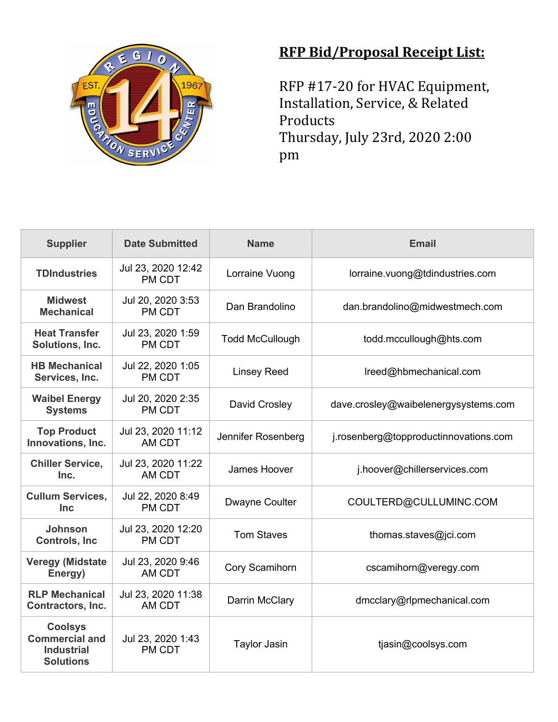

## **RFP Bid/Proposal Receipt List:**

RFP #17-20 for HVAC Equipment, Installation, Service, & Related Products Thursday, July 23rd, 2020 2:00 pm

| <b>Supplier</b>                                                                  | <b>Date Submitted</b>        | <b>Name</b>            | <b>Email</b>                          |
|----------------------------------------------------------------------------------|------------------------------|------------------------|---------------------------------------|
| <b>TDIndustries</b>                                                              | Jul 23, 2020 12:42<br>PM CDT | Lorraine Vuong         | lorraine.vuong@tdindustries.com       |
| <b>Midwest</b><br><b>Mechanical</b>                                              | Jul 20, 2020 3:53<br>PM CDT  | Dan Brandolino         | dan.brandolino@midwestmech.com        |
| <b>Heat Transfer</b><br>Solutions, Inc.                                          | Jul 23, 2020 1:59<br>PM CDT  | <b>Todd McCullough</b> | todd.mccullough@hts.com               |
| <b>HB Mechanical</b><br>Services, Inc.                                           | Jul 22, 2020 1:05<br>PM CDT  | <b>Linsey Reed</b>     | Ireed@hbmechanical.com                |
| <b>Waibel Energy</b><br><b>Systems</b>                                           | Jul 20, 2020 2:35<br>PM CDT  | David Crosley          | dave.crosley@waibelenergysystems.com  |
| <b>Top Product</b><br>Innovations, Inc.                                          | Jul 23, 2020 11:12<br>AM CDT | Jennifer Rosenberg     | j.rosenberg@topproductinnovations.com |
| <b>Chiller Service,</b><br>Inc.                                                  | Jul 23, 2020 11:22<br>AM CDT | James Hoover           | j.hoover@chillerservices.com          |
| <b>Cullum Services,</b><br><b>Inc</b>                                            | Jul 22, 2020 8:49<br>PM CDT  | <b>Dwayne Coulter</b>  | COULTERD@CULLUMINC.COM                |
| Johnson<br><b>Controls, Inc.</b>                                                 | Jul 23, 2020 12:20<br>PM CDT | <b>Tom Staves</b>      | thomas.staves@jci.com                 |
| <b>Veregy (Midstate</b><br>Energy)                                               | Jul 23, 2020 9:46<br>AM CDT  | Cory Scamihorn         | cscamihorn@veregy.com                 |
| <b>RLP Mechanical</b><br>Contractors, Inc.                                       | Jul 23, 2020 11:38<br>AM CDT | Darrin McClary         | dmcclary@rlpmechanical.com            |
| <b>Coolsys</b><br><b>Commercial and</b><br><b>Industrial</b><br><b>Solutions</b> | Jul 23, 2020 1:43<br>PM CDT  | <b>Taylor Jasin</b>    | tjasin@coolsys.com                    |